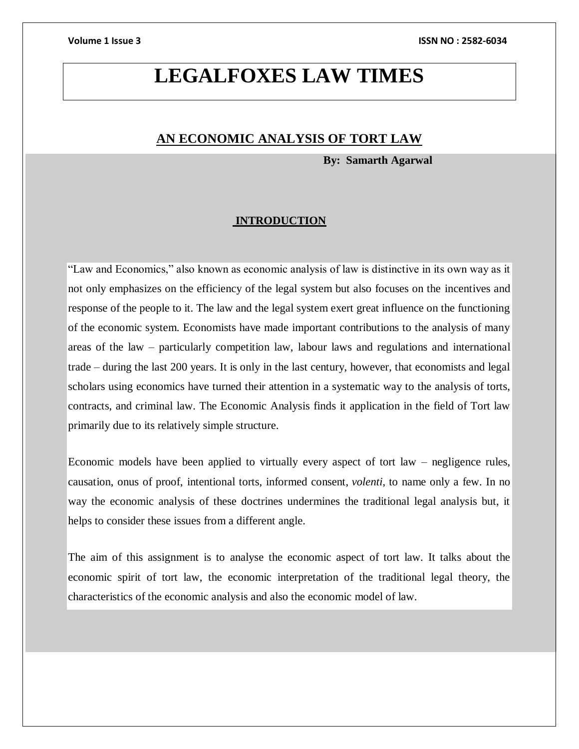# **LEGALFOXES LAW TIMES**

## **AN ECONOMIC ANALYSIS OF TORT LAW**

 **By: Samarth Agarwal**

### **INTRODUCTION**

"Law and Economics," also known as economic analysis of law is distinctive in its own way as it not only emphasizes on the efficiency of the legal system but also focuses on the incentives and response of the people to it. The law and the legal system exert great influence on the functioning of the economic system. Economists have made important contributions to the analysis of many areas of the law – particularly competition law, labour laws and regulations and international trade – during the last 200 years. It is only in the last century, however, that economists and legal scholars using economics have turned their attention in a systematic way to the analysis of torts, contracts, and criminal law. The Economic Analysis finds it application in the field of Tort law primarily due to its relatively simple structure.

Economic models have been applied to virtually every aspect of tort law – negligence rules, causation, onus of proof, intentional torts, informed consent, *volenti*, to name only a few. In no way the economic analysis of these doctrines undermines the traditional legal analysis but, it helps to consider these issues from a different angle.

The aim of this assignment is to analyse the economic aspect of tort law. It talks about the economic spirit of tort law, the economic interpretation of the traditional legal theory, the characteristics of the economic analysis and also the economic model of law.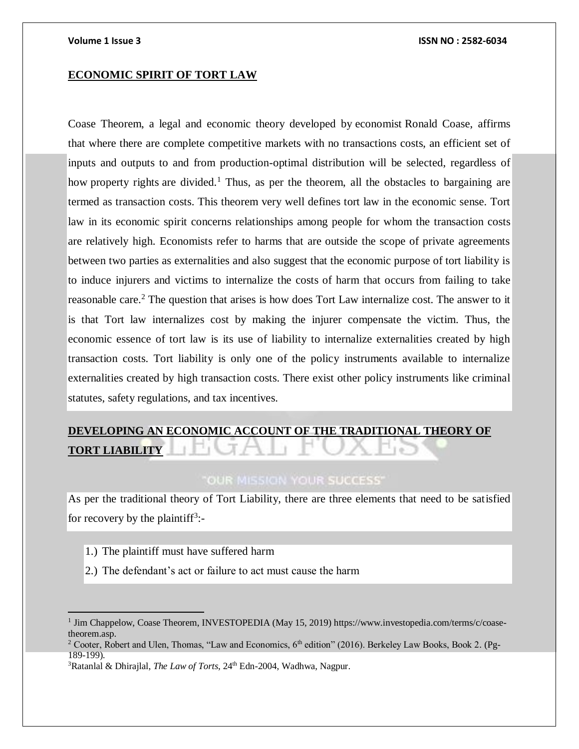### **ECONOMIC SPIRIT OF TORT LAW**

Coase Theorem, a legal and economic theory developed by [economist](https://www.investopedia.com/terms/e/economist.asp) [Ronald Coase,](https://www.investopedia.com/terms/r/ronald-h-coase.asp) affirms that where there are complete competitive markets with no transactions costs, an efficient set of inputs and outputs to and from production-optimal distribution will be selected, regardless of how [property rights](https://www.investopedia.com/terms/p/property_rights.asp) are divided.<sup>1</sup> Thus, as per the theorem, all the obstacles to bargaining are termed as transaction costs. This theorem very well defines tort law in the economic sense. Tort law in its economic spirit concerns relationships among people for whom the transaction costs are relatively high. Economists refer to harms that are outside the scope of private agreements between two parties as externalities and also suggest that the economic purpose of tort liability is to induce injurers and victims to internalize the costs of harm that occurs from failing to take reasonable care.<sup>2</sup> The question that arises is how does Tort Law internalize cost. The answer to it is that Tort law internalizes cost by making the injurer compensate the victim. Thus, the economic essence of tort law is its use of liability to internalize externalities created by high transaction costs. Tort liability is only one of the policy instruments available to internalize externalities created by high transaction costs. There exist other policy instruments like criminal statutes, safety regulations, and tax incentives.

# **DEVELOPING AN ECONOMIC ACCOUNT OF THE TRADITIONAL THEORY OF TORT LIABILITY**

### "OUR MISSION YOUR SUCCESS"

As per the traditional theory of Tort Liability, there are three elements that need to be satisfied for recovery by the plaintiff<sup>3</sup>:-

1.) The plaintiff must have suffered harm

2.) The defendant's act or failure to act must cause the harm

<sup>&</sup>lt;sup>1</sup> Jim Chappelow, Coase Theorem, INVESTOPEDIA (May 15, 2019) [https://www.investopedia.com/terms/c/coase](https://www.investopedia.com/terms/c/coase-theorem.asp)[theorem.asp.](https://www.investopedia.com/terms/c/coase-theorem.asp)

<sup>&</sup>lt;sup>2</sup> Cooter, Robert and Ulen, Thomas, "Law and Economics, 6<sup>th</sup> edition" (2016). Berkeley Law Books, Book 2. (Pg-189-199).

<sup>&</sup>lt;sup>3</sup>Ratanlal & Dhirajlal, *The Law of Torts*, 24<sup>th</sup> Edn-2004, Wadhwa, Nagpur.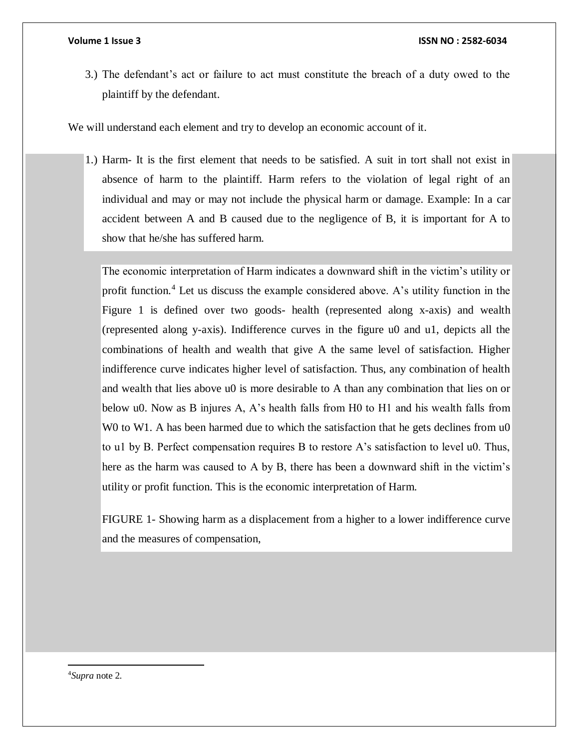3.) The defendant's act or failure to act must constitute the breach of a duty owed to the plaintiff by the defendant.

We will understand each element and try to develop an economic account of it.

1.) Harm- It is the first element that needs to be satisfied. A suit in tort shall not exist in absence of harm to the plaintiff. Harm refers to the violation of legal right of an individual and may or may not include the physical harm or damage. Example: In a car accident between A and B caused due to the negligence of B, it is important for A to show that he/she has suffered harm.

The economic interpretation of Harm indicates a downward shift in the victim's utility or profit function.<sup>4</sup> Let us discuss the example considered above. A's utility function in the Figure 1 is defined over two goods- health (represented along x-axis) and wealth (represented along y-axis). Indifference curves in the figure u0 and u1, depicts all the combinations of health and wealth that give A the same level of satisfaction. Higher indifference curve indicates higher level of satisfaction. Thus, any combination of health and wealth that lies above u0 is more desirable to A than any combination that lies on or below u0. Now as B injures A, A's health falls from H0 to H1 and his wealth falls from W0 to W1. A has been harmed due to which the satisfaction that he gets declines from  $u_0$ to u1 by B. Perfect compensation requires B to restore A's satisfaction to level u0. Thus, here as the harm was caused to A by B, there has been a downward shift in the victim's utility or profit function. This is the economic interpretation of Harm.

FIGURE 1- Showing harm as a displacement from a higher to a lower indifference curve and the measures of compensation,

<sup>4</sup>*Supra* note 2.

 $\overline{a}$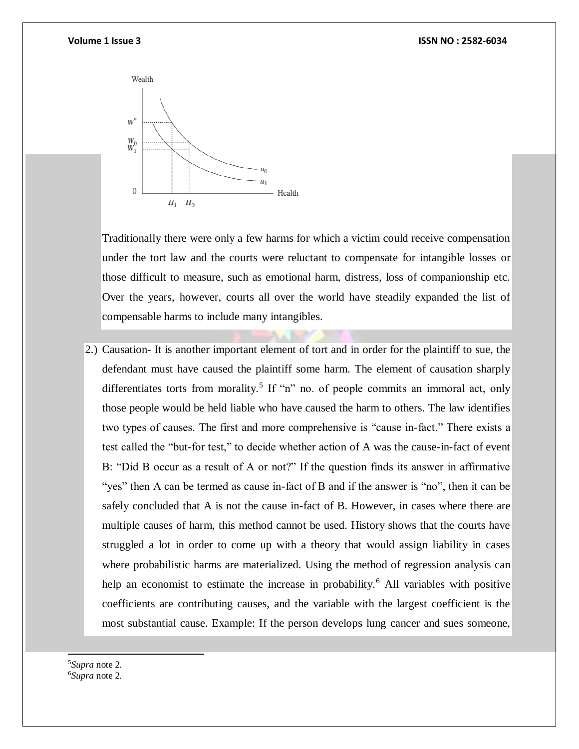

Traditionally there were only a few harms for which a victim could receive compensation under the tort law and the courts were reluctant to compensate for intangible losses or those difficult to measure, such as emotional harm, distress, loss of companionship etc. Over the years, however, courts all over the world have steadily expanded the list of compensable harms to include many intangibles.

2.) Causation- It is another important element of tort and in order for the plaintiff to sue, the defendant must have caused the plaintiff some harm. The element of causation sharply differentiates torts from morality.<sup>5</sup> If "n" no. of people commits an immoral act, only those people would be held liable who have caused the harm to others. The law identifies two types of causes. The first and more comprehensive is "cause in-fact." There exists a test called the "but-for test," to decide whether action of A was the cause-in-fact of event B: "Did B occur as a result of A or not?" If the question finds its answer in affirmative "yes" then A can be termed as cause in-fact of B and if the answer is "no", then it can be safely concluded that A is not the cause in-fact of B. However, in cases where there are multiple causes of harm, this method cannot be used. History shows that the courts have struggled a lot in order to come up with a theory that would assign liability in cases where probabilistic harms are materialized. Using the method of regression analysis can help an economist to estimate the increase in probability.<sup>6</sup> All variables with positive coefficients are contributing causes, and the variable with the largest coefficient is the most substantial cause. Example: If the person develops lung cancer and sues someone,

<sup>5</sup>*Supra* note 2. <sup>6</sup>*Supra* note 2.

l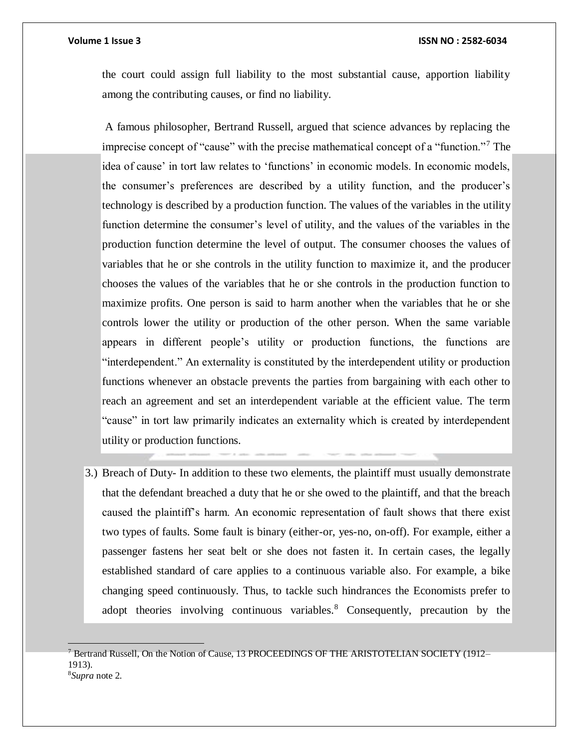the court could assign full liability to the most substantial cause, apportion liability among the contributing causes, or find no liability.

A famous philosopher, Bertrand Russell, argued that science advances by replacing the imprecise concept of "cause" with the precise mathematical concept of a "function."<sup>7</sup> The idea of cause' in tort law relates to 'functions' in economic models. In economic models, the consumer's preferences are described by a utility function, and the producer's technology is described by a production function. The values of the variables in the utility function determine the consumer's level of utility, and the values of the variables in the production function determine the level of output. The consumer chooses the values of variables that he or she controls in the utility function to maximize it, and the producer chooses the values of the variables that he or she controls in the production function to maximize profits. One person is said to harm another when the variables that he or she controls lower the utility or production of the other person. When the same variable appears in different people's utility or production functions, the functions are "interdependent." An externality is constituted by the interdependent utility or production functions whenever an obstacle prevents the parties from bargaining with each other to reach an agreement and set an interdependent variable at the efficient value. The term "cause" in tort law primarily indicates an externality which is created by interdependent utility or production functions.

3.) Breach of Duty- In addition to these two elements, the plaintiff must usually demonstrate that the defendant breached a duty that he or she owed to the plaintiff, and that the breach caused the plaintiff's harm. An economic representation of fault shows that there exist two types of faults. Some fault is binary (either-or, yes-no, on-off). For example, either a passenger fastens her seat belt or she does not fasten it. In certain cases, the legally established standard of care applies to a continuous variable also. For example, a bike changing speed continuously. Thus, to tackle such hindrances the Economists prefer to adopt theories involving continuous variables.<sup>8</sup> Consequently, precaution by the

  $^7$  Bertrand Russell, On the Notion of Cause, 13 PROCEEDINGS OF THE ARISTOTELIAN SOCIETY (1912– 1913). 8*Supra* note 2.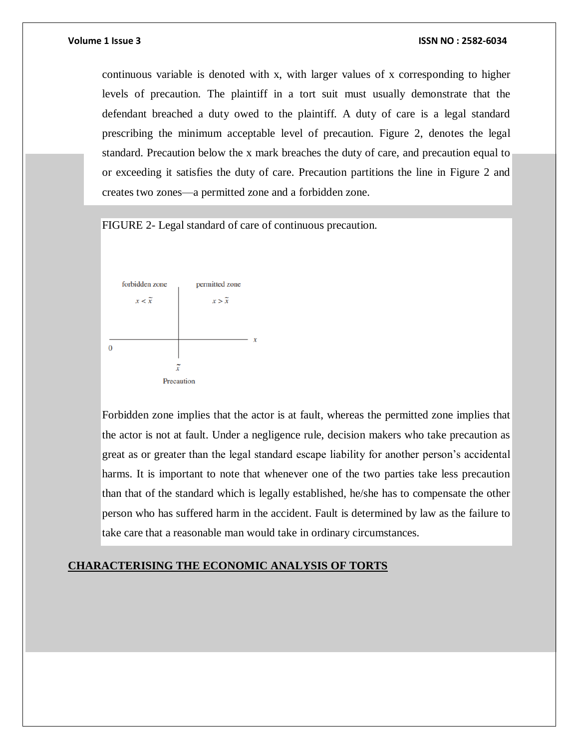continuous variable is denoted with x, with larger values of x corresponding to higher levels of precaution. The plaintiff in a tort suit must usually demonstrate that the defendant breached a duty owed to the plaintiff. A duty of care is a legal standard prescribing the minimum acceptable level of precaution. Figure 2, denotes the legal standard. Precaution below the x mark breaches the duty of care, and precaution equal to or exceeding it satisfies the duty of care. Precaution partitions the line in Figure 2 and creates two zones—a permitted zone and a forbidden zone.

### FIGURE 2- Legal standard of care of continuous precaution.



Forbidden zone implies that the actor is at fault, whereas the permitted zone implies that the actor is not at fault. Under a negligence rule, decision makers who take precaution as great as or greater than the legal standard escape liability for another person's accidental harms. It is important to note that whenever one of the two parties take less precaution than that of the standard which is legally established, he/she has to compensate the other person who has suffered harm in the accident. Fault is determined by law as the failure to take care that a reasonable man would take in ordinary circumstances.

### **CHARACTERISING THE ECONOMIC ANALYSIS OF TORTS**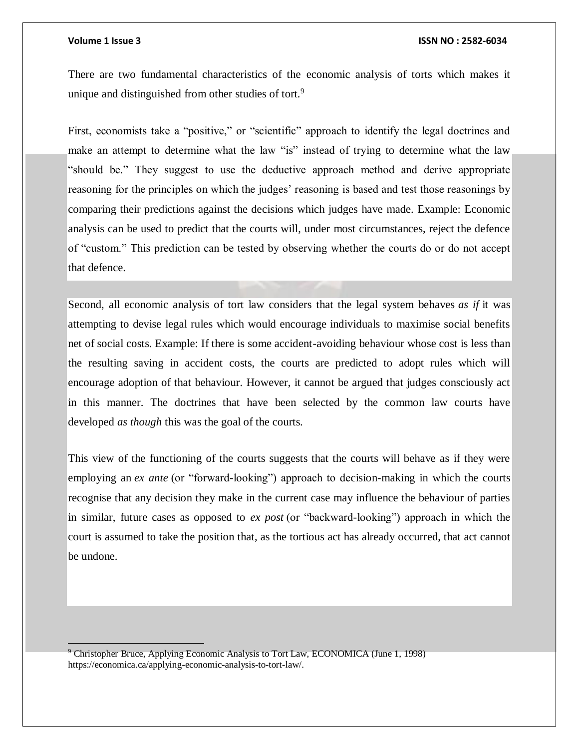### **Volume 1 Issue 3 ISSN NO : 2582-6034**

There are two fundamental characteristics of the economic analysis of torts which makes it unique and distinguished from other studies of tort.<sup>9</sup>

First, economists take a "positive," or "scientific" approach to identify the legal doctrines and make an attempt to determine what the law "is" instead of trying to determine what the law "should be." They suggest to use the deductive approach method and derive appropriate reasoning for the principles on which the judges' reasoning is based and test those reasonings by comparing their predictions against the decisions which judges have made. Example: Economic analysis can be used to predict that the courts will, under most circumstances, reject the defence of "custom." This prediction can be tested by observing whether the courts do or do not accept that defence.

Second, all economic analysis of tort law considers that the legal system behaves *as if* it was attempting to devise legal rules which would encourage individuals to maximise social benefits net of social costs. Example: If there is some accident-avoiding behaviour whose cost is less than the resulting saving in accident costs, the courts are predicted to adopt rules which will encourage adoption of that behaviour. However, it cannot be argued that judges consciously act in this manner. The doctrines that have been selected by the common law courts have developed *as though* this was the goal of the courts.

This view of the functioning of the courts suggests that the courts will behave as if they were employing an *ex ante* (or "forward-looking") approach to decision-making in which the courts recognise that any decision they make in the current case may influence the behaviour of parties in similar, future cases as opposed to *ex post* (or "backward-looking") approach in which the court is assumed to take the position that, as the tortious act has already occurred, that act cannot be undone.

<sup>9</sup> Christopher Bruce, Applying Economic Analysis to Tort Law, ECONOMICA (June 1, 1998) [https://economica.ca/applying-economic-analysis-to-tort-law/.](https://economica.ca/applying-economic-analysis-to-tort-law/)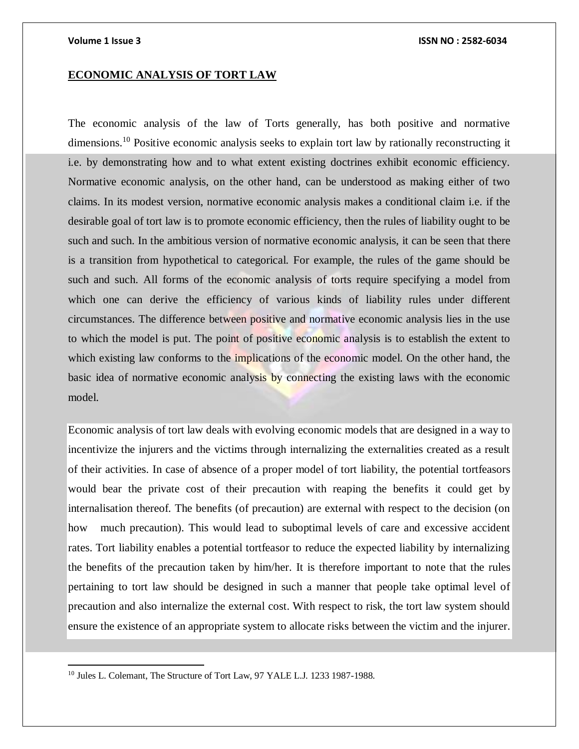### **ECONOMIC ANALYSIS OF TORT LAW**

The economic analysis of the law of Torts generally, has both positive and normative dimensions.<sup>10</sup> Positive economic analysis seeks to explain tort law by rationally reconstructing it i.e. by demonstrating how and to what extent existing doctrines exhibit economic efficiency. Normative economic analysis, on the other hand, can be understood as making either of two claims. In its modest version, normative economic analysis makes a conditional claim i.e. if the desirable goal of tort law is to promote economic efficiency, then the rules of liability ought to be such and such. In the ambitious version of normative economic analysis, it can be seen that there is a transition from hypothetical to categorical. For example, the rules of the game should be such and such. All forms of the economic analysis of torts require specifying a model from which one can derive the efficiency of various kinds of liability rules under different circumstances. The difference between positive and normative economic analysis lies in the use to which the model is put. The point of positive economic analysis is to establish the extent to which existing law conforms to the implications of the economic model. On the other hand, the basic idea of normative economic analysis by connecting the existing laws with the economic model.

Economic analysis of tort law deals with evolving economic models that are designed in a way to incentivize the injurers and the victims through internalizing the externalities created as a result of their activities. In case of absence of a proper model of tort liability, the potential tortfeasors would bear the private cost of their precaution with reaping the benefits it could get by internalisation thereof. The benefits (of precaution) are external with respect to the decision (on how much precaution). This would lead to suboptimal levels of care and excessive accident rates. Tort liability enables a potential tortfeasor to reduce the expected liability by internalizing the benefits of the precaution taken by him/her. It is therefore important to note that the rules pertaining to tort law should be designed in such a manner that people take optimal level of precaution and also internalize the external cost. With respect to risk, the tort law system should ensure the existence of an appropriate system to allocate risks between the victim and the injurer.

 $\overline{a}$ 

<sup>10</sup> Jules L. Colemant, The Structure of Tort Law, 97 YALE L.J. 1233 1987-1988.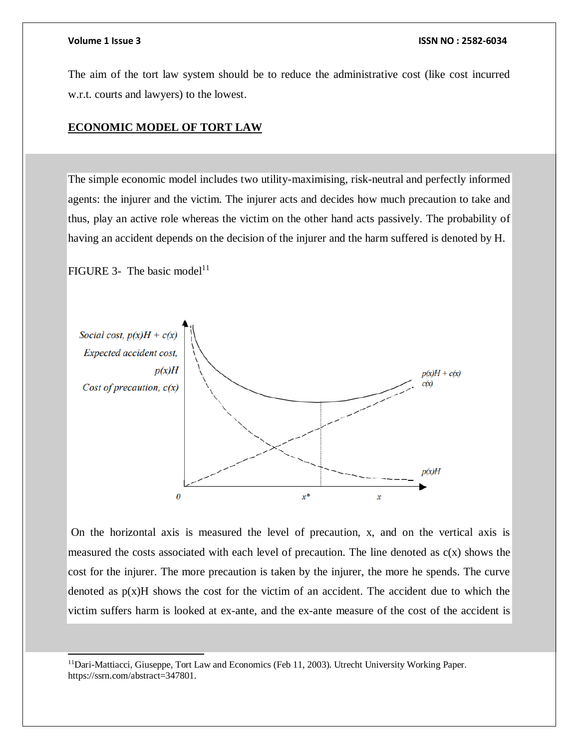### **Volume 1 Issue 3 ISSN NO : 2582-6034**

The aim of the tort law system should be to reduce the administrative cost (like cost incurred w.r.t. courts and lawyers) to the lowest.

### **ECONOMIC MODEL OF TORT LAW**

The simple economic model includes two utility-maximising, risk-neutral and perfectly informed agents: the injurer and the victim. The injurer acts and decides how much precaution to take and thus, play an active role whereas the victim on the other hand acts passively. The probability of having an accident depends on the decision of the injurer and the harm suffered is denoted by H.

FIGURE 3- The basic model<sup>11</sup>

l



On the horizontal axis is measured the level of precaution, x, and on the vertical axis is measured the costs associated with each level of precaution. The line denoted as  $c(x)$  shows the cost for the injurer. The more precaution is taken by the injurer, the more he spends. The curve denoted as  $p(x)$ H shows the cost for the victim of an accident. The accident due to which the victim suffers harm is looked at ex-ante, and the ex-ante measure of the cost of the accident is

<sup>&</sup>lt;sup>11</sup>Dari-Mattiacci, Giuseppe, Tort Law and Economics (Feb 11, 2003). Utrecht University Working Paper. [https://ssrn.com/abstract=347801.](https://ssrn.com/abstract=347801)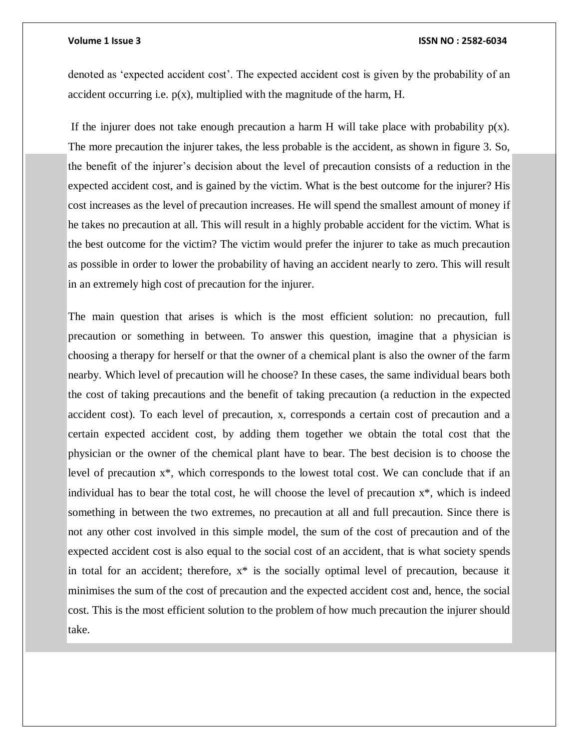### **Volume 1 Issue 3 ISSN NO : 2582-6034**

denoted as 'expected accident cost'. The expected accident cost is given by the probability of an accident occurring i.e.  $p(x)$ , multiplied with the magnitude of the harm, H.

If the injurer does not take enough precaution a harm H will take place with probability  $p(x)$ . The more precaution the injurer takes, the less probable is the accident, as shown in figure 3. So, the benefit of the injurer's decision about the level of precaution consists of a reduction in the expected accident cost, and is gained by the victim. What is the best outcome for the injurer? His cost increases as the level of precaution increases. He will spend the smallest amount of money if he takes no precaution at all. This will result in a highly probable accident for the victim. What is the best outcome for the victim? The victim would prefer the injurer to take as much precaution as possible in order to lower the probability of having an accident nearly to zero. This will result in an extremely high cost of precaution for the injurer.

The main question that arises is which is the most efficient solution: no precaution, full precaution or something in between. To answer this question, imagine that a physician is choosing a therapy for herself or that the owner of a chemical plant is also the owner of the farm nearby. Which level of precaution will he choose? In these cases, the same individual bears both the cost of taking precautions and the benefit of taking precaution (a reduction in the expected accident cost). To each level of precaution, x, corresponds a certain cost of precaution and a certain expected accident cost, by adding them together we obtain the total cost that the physician or the owner of the chemical plant have to bear. The best decision is to choose the level of precaution x\*, which corresponds to the lowest total cost. We can conclude that if an individual has to bear the total cost, he will choose the level of precaution x\*, which is indeed something in between the two extremes, no precaution at all and full precaution. Since there is not any other cost involved in this simple model, the sum of the cost of precaution and of the expected accident cost is also equal to the social cost of an accident, that is what society spends in total for an accident; therefore,  $x^*$  is the socially optimal level of precaution, because it minimises the sum of the cost of precaution and the expected accident cost and, hence, the social cost. This is the most efficient solution to the problem of how much precaution the injurer should take.